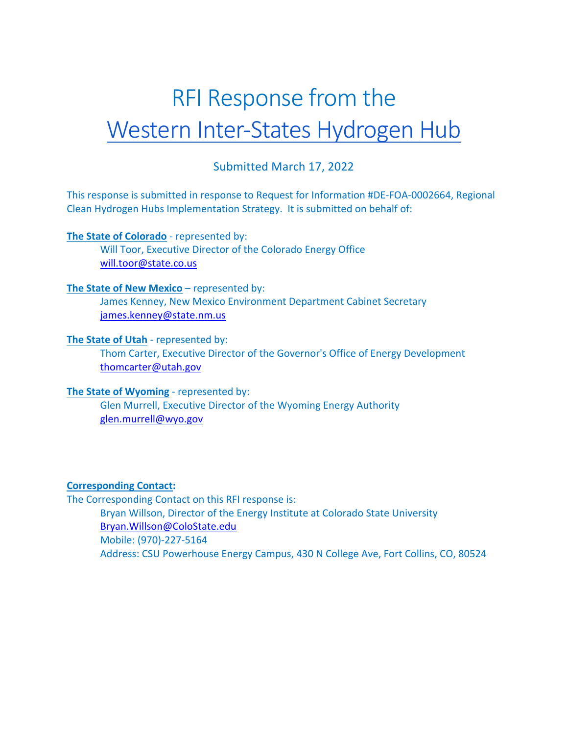# Submitted March 17, 2022

This response is submitted in response to Request for Information #DE-FOA-0002664, Regional Clean Hydrogen Hubs Implementation Strategy. It is submitted on behalf of:

## **The State of Colorado** - represented by:

Will Toor, Executive Director of the Colorado Energy Office will.toor@state.co.us

#### **The State of New Mexico** – represented by:

James Kenney, New Mexico Environment Department Cabinet Secretary james.kenney@state.nm.us

## **The State of Utah** - represented by:

Thom Carter, Executive Director of the Governor's Office of Energy Development thomcarter@utah.gov

#### **The State of Wyoming** - represented by:

Glen Murrell, Executive Director of the Wyoming Energy Authority glen.murrell@wyo.gov

## **Corresponding Contact:**

The Corresponding Contact on this RFI response is: Bryan Willson, Director of the Energy Institute at Colorado State University Bryan.Willson@ColoState.edu Mobile: (970)-227-5164 Address: CSU Powerhouse Energy Campus, 430 N College Ave, Fort Collins, CO, 80524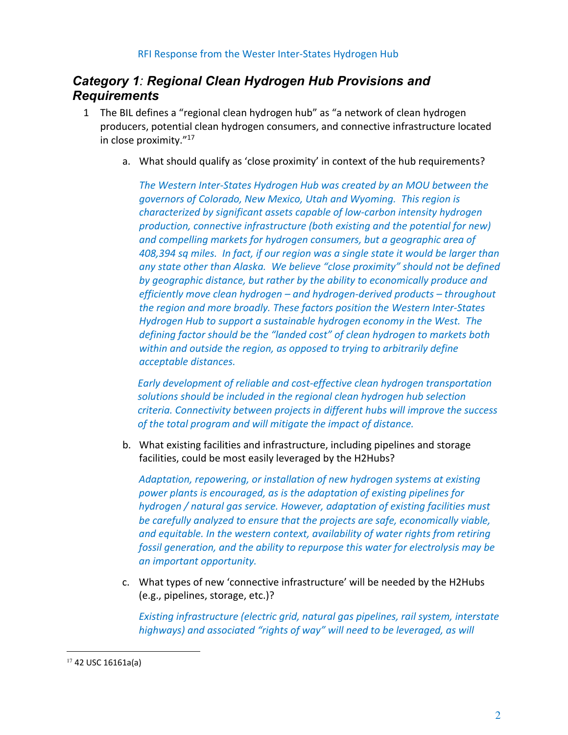# *Category 1: Regional Clean Hydrogen Hub Provisions and Requirements*

- 1 The BIL defines a "regional clean hydrogen hub" as "a network of clean hydrogen producers, potential clean hydrogen consumers, and connective infrastructure located in close proximity."17
	- a. What should qualify as 'close proximity' in context of the hub requirements?

*The Western Inter-States Hydrogen Hub was created by an MOU between the governors of Colorado, New Mexico, Utah and Wyoming. This region is characterized by significant assets capable of low-carbon intensity hydrogen production, connective infrastructure (both existing and the potential for new) and compelling markets for hydrogen consumers, but a geographic area of 408,394 sq miles. In fact, if our region was a single state it would be larger than any state other than Alaska. We believe "close proximity" should not be defined by geographic distance, but rather by the ability to economically produce and efficiently move clean hydrogen – and hydrogen-derived products – throughout the region and more broadly. These factors position the Western Inter-States Hydrogen Hub to support a sustainable hydrogen economy in the West. The defining factor should be the "landed cost" of clean hydrogen to markets both within and outside the region, as opposed to trying to arbitrarily define acceptable distances.*

*Early development of reliable and cost-effective clean hydrogen transportation solutions should be included in the regional clean hydrogen hub selection criteria. Connectivity between projects in different hubs will improve the success of the total program and will mitigate the impact of distance.*

b. What existing facilities and infrastructure, including pipelines and storage facilities, could be most easily leveraged by the H2Hubs?

*Adaptation, repowering, or installation of new hydrogen systems at existing power plants is encouraged, as is the adaptation of existing pipelines for hydrogen / natural gas service. However, adaptation of existing facilities must be carefully analyzed to ensure that the projects are safe, economically viable, and equitable. In the western context, availability of water rights from retiring fossil generation, and the ability to repurpose this water for electrolysis may be an important opportunity.*

c. What types of new 'connective infrastructure' will be needed by the H2Hubs (e.g., pipelines, storage, etc.)?

*Existing infrastructure (electric grid, natural gas pipelines, rail system, interstate highways) and associated "rights of way" will need to be leveraged, as will* 

<sup>17</sup> 42 USC 16161a(a)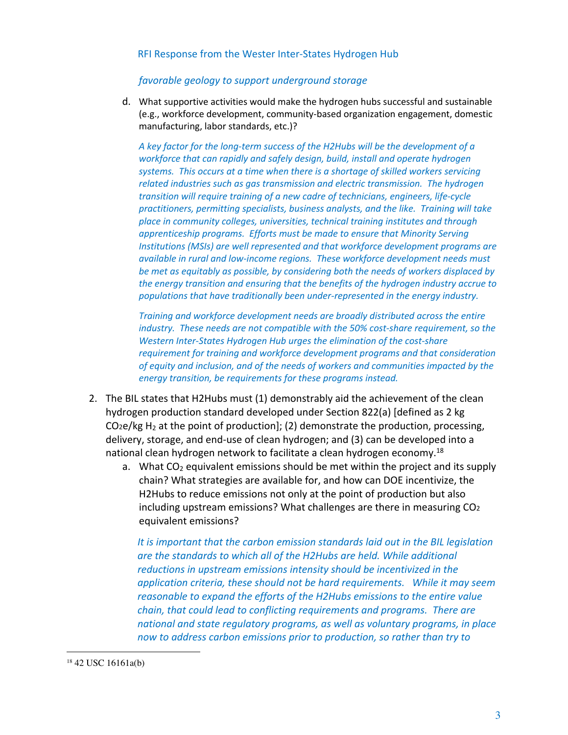#### *favorable geology to support underground storage*

d. What supportive activities would make the hydrogen hubs successful and sustainable (e.g., workforce development, community-based organization engagement, domestic manufacturing, labor standards, etc.)?

*A key factor for the long-term success of the H2Hubs will be the development of a workforce that can rapidly and safely design, build, install and operate hydrogen systems. This occurs at a time when there is a shortage of skilled workers servicing related industries such as gas transmission and electric transmission. The hydrogen transition will require training of a new cadre of technicians, engineers, life-cycle practitioners, permitting specialists, business analysts, and the like. Training will take place in community colleges, universities, technical training institutes and through apprenticeship programs. Efforts must be made to ensure that Minority Serving Institutions (MSIs) are well represented and that workforce development programs are available in rural and low-income regions. These workforce development needs must be met as equitably as possible, by considering both the needs of workers displaced by the energy transition and ensuring that the benefits of the hydrogen industry accrue to populations that have traditionally been under-represented in the energy industry.*

*Training and workforce development needs are broadly distributed across the entire industry. These needs are not compatible with the 50% cost-share requirement, so the Western Inter-States Hydrogen Hub urges the elimination of the cost-share requirement for training and workforce development programs and that consideration of equity and inclusion, and of the needs of workers and communities impacted by the energy transition, be requirements for these programs instead.*

- 2. The BIL states that H2Hubs must (1) demonstrably aid the achievement of the clean hydrogen production standard developed under Section 822(a) [defined as 2 kg CO<sub>2</sub>e/kg H<sub>2</sub> at the point of production]; (2) demonstrate the production, processing, delivery, storage, and end-use of clean hydrogen; and (3) can be developed into a national clean hydrogen network to facilitate a clean hydrogen economy.<sup>18</sup>
	- a. What  $CO<sub>2</sub>$  equivalent emissions should be met within the project and its supply chain? What strategies are available for, and how can DOE incentivize, the H2Hubs to reduce emissions not only at the point of production but also including upstream emissions? What challenges are there in measuring CO2 equivalent emissions?

*It is important that the carbon emission standards laid out in the BIL legislation are the standards to which all of the H2Hubs are held. While additional reductions in upstream emissions intensity should be incentivized in the application criteria, these should not be hard requirements. While it may seem reasonable to expand the efforts of the H2Hubs emissions to the entire value chain, that could lead to conflicting requirements and programs. There are national and state regulatory programs, as well as voluntary programs, in place now to address carbon emissions prior to production, so rather than try to* 

<sup>18</sup> 42 USC 16161a(b)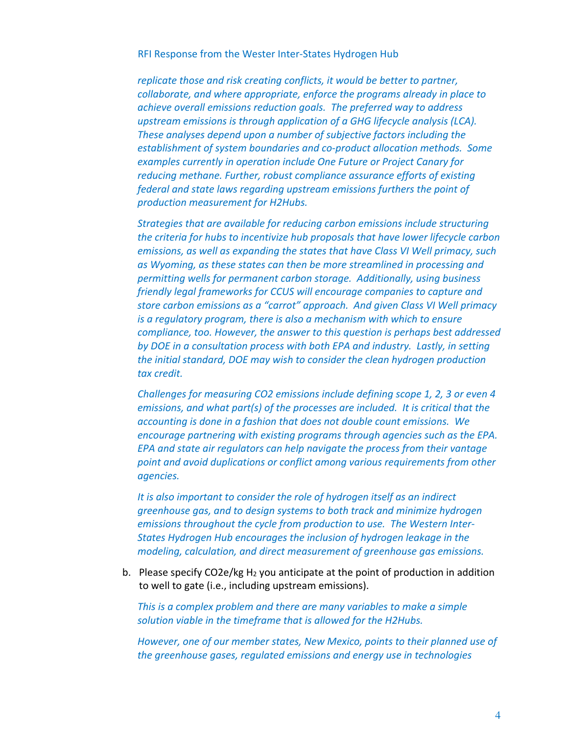*replicate those and risk creating conflicts, it would be better to partner, collaborate, and where appropriate, enforce the programs already in place to achieve overall emissions reduction goals. The preferred way to address upstream emissions is through application of a GHG lifecycle analysis (LCA). These analyses depend upon a number of subjective factors including the establishment of system boundaries and co-product allocation methods. Some examples currently in operation include One Future or Project Canary for reducing methane. Further, robust compliance assurance efforts of existing federal and state laws regarding upstream emissions furthers the point of production measurement for H2Hubs.*

*Strategies that are available for reducing carbon emissions include structuring the criteria for hubs to incentivize hub proposals that have lower lifecycle carbon emissions, as well as expanding the states that have Class VI Well primacy, such as Wyoming, as these states can then be more streamlined in processing and permitting wells for permanent carbon storage. Additionally, using business friendly legal frameworks for CCUS will encourage companies to capture and store carbon emissions as a "carrot" approach. And given Class VI Well primacy is a regulatory program, there is also a mechanism with which to ensure compliance, too. However, the answer to this question is perhaps best addressed by DOE in a consultation process with both EPA and industry. Lastly, in setting the initial standard, DOE may wish to consider the clean hydrogen production tax credit.*

*Challenges for measuring CO2 emissions include defining scope 1, 2, 3 or even 4 emissions, and what part(s) of the processes are included. It is critical that the accounting is done in a fashion that does not double count emissions. We encourage partnering with existing programs through agencies such as the EPA. EPA and state air regulators can help navigate the process from their vantage point and avoid duplications or conflict among various requirements from other agencies.*

*It is also important to consider the role of hydrogen itself as an indirect greenhouse gas, and to design systems to both track and minimize hydrogen emissions throughout the cycle from production to use. The Western Inter-States Hydrogen Hub encourages the inclusion of hydrogen leakage in the modeling, calculation, and direct measurement of greenhouse gas emissions.*

b. Please specify CO2e/kg  $H_2$  you anticipate at the point of production in addition to well to gate (i.e., including upstream emissions).

*This is a complex problem and there are many variables to make a simple solution viable in the timeframe that is allowed for the H2Hubs.* 

*However, one of our member states, New Mexico, points to their planned use of the greenhouse gases, regulated emissions and energy use in technologies*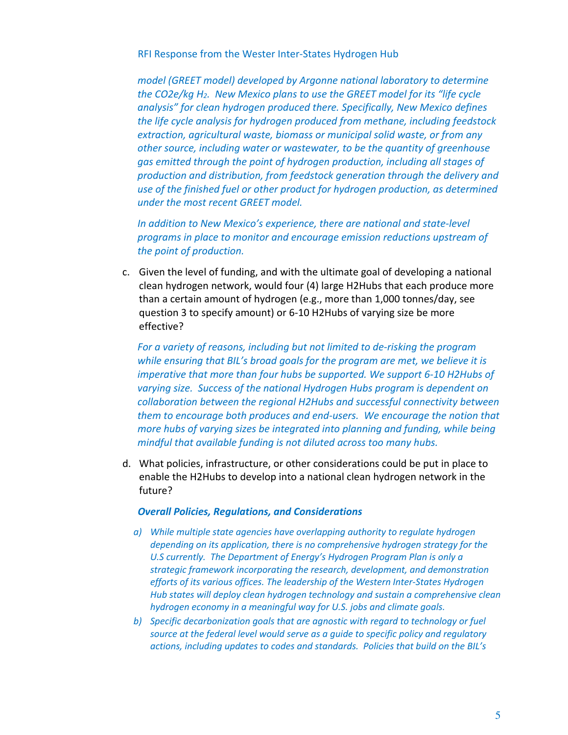*model (GREET model) developed by Argonne national laboratory to determine the CO2e/kg H2. New Mexico plans to use the GREET model for its "life cycle analysis" for clean hydrogen produced there. Specifically, New Mexico defines the life cycle analysis for hydrogen produced from methane, including feedstock extraction, agricultural waste, biomass or municipal solid waste, or from any other source, including water or wastewater, to be the quantity of greenhouse gas emitted through the point of hydrogen production, including all stages of production and distribution, from feedstock generation through the delivery and use of the finished fuel or other product for hydrogen production, as determined under the most recent GREET model.*

*In addition to New Mexico's experience, there are national and state-level programs in place to monitor and encourage emission reductions upstream of the point of production.*

c. Given the level of funding, and with the ultimate goal of developing a national clean hydrogen network, would four (4) large H2Hubs that each produce more than a certain amount of hydrogen (e.g., more than 1,000 tonnes/day, see question 3 to specify amount) or 6-10 H2Hubs of varying size be more effective?

*For a variety of reasons, including but not limited to de-risking the program while ensuring that BIL's broad goals for the program are met, we believe it is imperative that more than four hubs be supported. We support 6-10 H2Hubs of varying size. Success of the national Hydrogen Hubs program is dependent on collaboration between the regional H2Hubs and successful connectivity between them to encourage both produces and end-users. We encourage the notion that more hubs of varying sizes be integrated into planning and funding, while being mindful that available funding is not diluted across too many hubs.*

d. What policies, infrastructure, or other considerations could be put in place to enable the H2Hubs to develop into a national clean hydrogen network in the future?

#### *Overall Policies, Regulations, and Considerations*

- *a) While multiple state agencies have overlapping authority to regulate hydrogen depending on its application, there is no comprehensive hydrogen strategy for the U.S currently. The Department of Energy's Hydrogen Program Plan is only a strategic framework incorporating the research, development, and demonstration efforts of its various offices. The leadership of the Western Inter-States Hydrogen Hub states will deploy clean hydrogen technology and sustain a comprehensive clean hydrogen economy in a meaningful way for U.S. jobs and climate goals.*
- *b) Specific decarbonization goals that are agnostic with regard to technology or fuel source at the federal level would serve as a guide to specific policy and regulatory actions, including updates to codes and standards. Policies that build on the BIL's*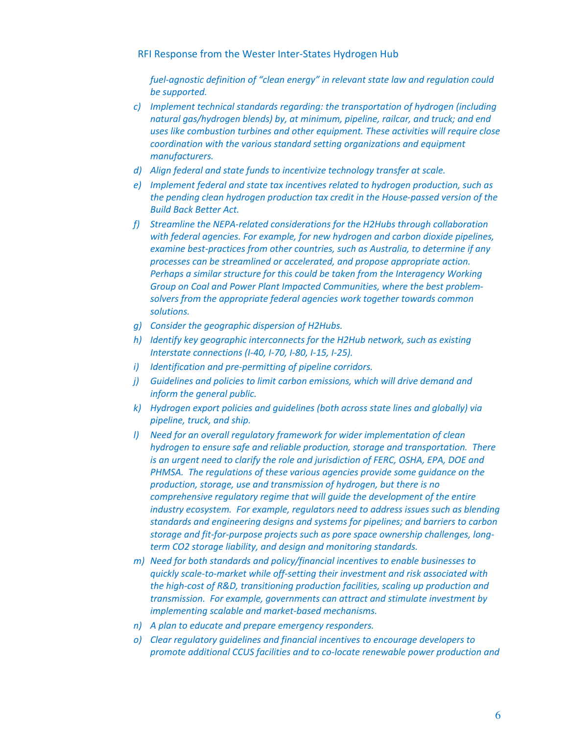*fuel-agnostic definition of "clean energy" in relevant state law and regulation could be supported.* 

- *c) Implement technical standards regarding: the transportation of hydrogen (including natural gas/hydrogen blends) by, at minimum, pipeline, railcar, and truck; and end uses like combustion turbines and other equipment. These activities will require close coordination with the various standard setting organizations and equipment manufacturers.*
- *d) Align federal and state funds to incentivize technology transfer at scale.*
- *e) Implement federal and state tax incentives related to hydrogen production, such as the pending clean hydrogen production tax credit in the House-passed version of the Build Back Better Act.*
- *f) Streamline the NEPA-related considerations for the H2Hubs through collaboration with federal agencies. For example, for new hydrogen and carbon dioxide pipelines, examine best-practices from other countries, such as Australia, to determine if any processes can be streamlined or accelerated, and propose appropriate action. Perhaps a similar structure for this could be taken from the Interagency Working Group on Coal and Power Plant Impacted Communities, where the best problemsolvers from the appropriate federal agencies work together towards common solutions.*
- *g) Consider the geographic dispersion of H2Hubs.*
- *h) Identify key geographic interconnects for the H2Hub network, such as existing Interstate connections (I-40, I-70, I-80, I-15, I-25).*
- *i) Identification and pre-permitting of pipeline corridors.*
- *j) Guidelines and policies to limit carbon emissions, which will drive demand and inform the general public.*
- *k) Hydrogen export policies and guidelines (both across state lines and globally) via pipeline, truck, and ship.*
- *l) Need for an overall regulatory framework for wider implementation of clean hydrogen to ensure safe and reliable production, storage and transportation. There is an urgent need to clarify the role and jurisdiction of FERC, OSHA, EPA, DOE and PHMSA. The regulations of these various agencies provide some guidance on the production, storage, use and transmission of hydrogen, but there is no comprehensive regulatory regime that will guide the development of the entire industry ecosystem. For example, regulators need to address issues such as blending standards and engineering designs and systems for pipelines; and barriers to carbon storage and fit-for-purpose projects such as pore space ownership challenges, longterm CO2 storage liability, and design and monitoring standards.*
- *m) Need for both standards and policy/financial incentives to enable businesses to quickly scale-to-market while off-setting their investment and risk associated with the high-cost of R&D, transitioning production facilities, scaling up production and transmission. For example, governments can attract and stimulate investment by implementing scalable and market-based mechanisms.*
- *n) A plan to educate and prepare emergency responders.*
- *o) Clear regulatory guidelines and financial incentives to encourage developers to promote additional CCUS facilities and to co-locate renewable power production and*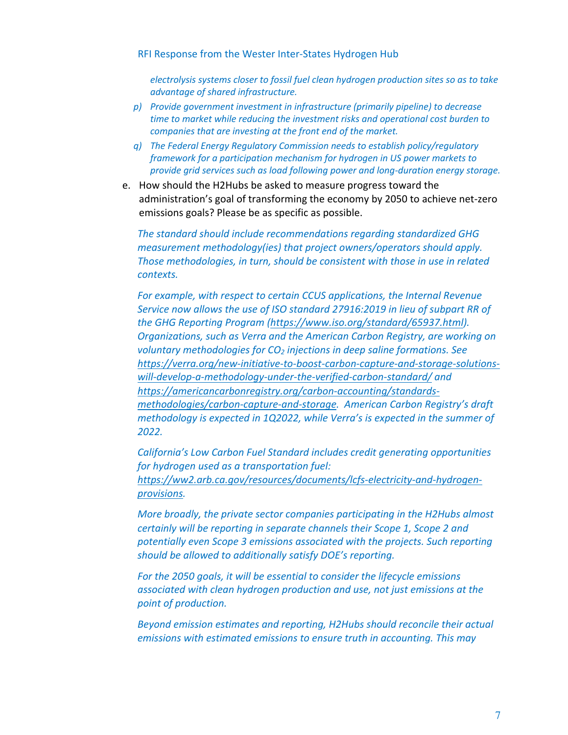*electrolysis systems closer to fossil fuel clean hydrogen production sites so as to take advantage of shared infrastructure.*

- *p) Provide government investment in infrastructure (primarily pipeline) to decrease time to market while reducing the investment risks and operational cost burden to companies that are investing at the front end of the market.*
- *q) The Federal Energy Regulatory Commission needs to establish policy/regulatory framework for a participation mechanism for hydrogen in US power markets to provide grid services such as load following power and long-duration energy storage.*
- e. How should the H2Hubs be asked to measure progress toward the administration's goal of transforming the economy by 2050 to achieve net-zero emissions goals? Please be as specific as possible.

*The standard should include recommendations regarding standardized GHG measurement methodology(ies) that project owners/operators should apply. Those methodologies, in turn, should be consistent with those in use in related contexts.*

*For example, with respect to certain CCUS applications, the Internal Revenue Service now allows the use of ISO standard 27916:2019 in lieu of subpart RR of the GHG Reporting Program (https://www.iso.org/standard/65937.html). Organizations, such as Verra and the American Carbon Registry, are working on voluntary methodologies for CO2 injections in deep saline formations. See https://verra.org/new-initiative-to-boost-carbon-capture-and-storage-solutionswill-develop-a-methodology-under-the-verified-carbon-standard/ and https://americancarbonregistry.org/carbon-accounting/standardsmethodologies/carbon-capture-and-storage. American Carbon Registry's draft methodology is expected in 1Q2022, while Verra's is expected in the summer of 2022.*

*California's Low Carbon Fuel Standard includes credit generating opportunities for hydrogen used as a transportation fuel: https://ww2.arb.ca.gov/resources/documents/lcfs-electricity-and-hydrogenprovisions.*

*More broadly, the private sector companies participating in the H2Hubs almost certainly will be reporting in separate channels their Scope 1, Scope 2 and potentially even Scope 3 emissions associated with the projects. Such reporting should be allowed to additionally satisfy DOE's reporting.* 

*For the 2050 goals, it will be essential to consider the lifecycle emissions associated with clean hydrogen production and use, not just emissions at the point of production.* 

*Beyond emission estimates and reporting, H2Hubs should reconcile their actual emissions with estimated emissions to ensure truth in accounting. This may*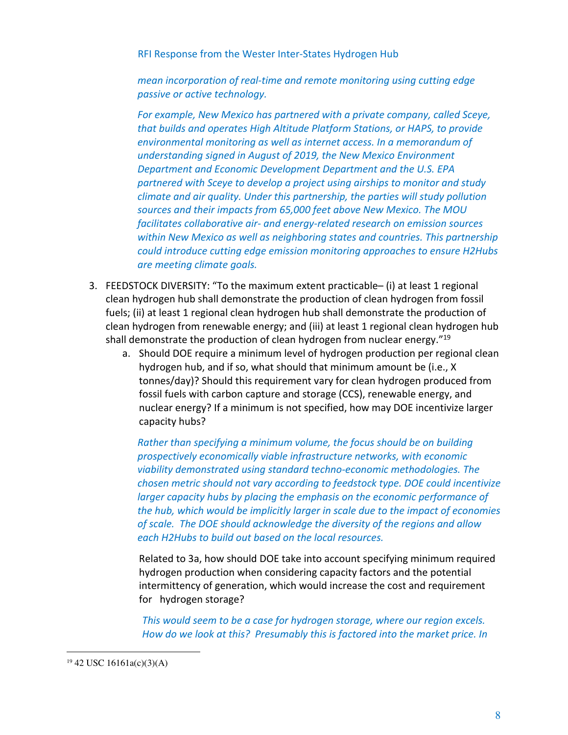*mean incorporation of real-time and remote monitoring using cutting edge passive or active technology.*

*For example, New Mexico has partnered with a private company, called Sceye, that builds and operates High Altitude Platform Stations, or HAPS, to provide environmental monitoring as well as internet access. In a memorandum of understanding signed in August of 2019, the New Mexico Environment Department and Economic Development Department and the U.S. EPA partnered with Sceye to develop a project using airships to monitor and study climate and air quality. Under this partnership, the parties will study pollution sources and their impacts from 65,000 feet above New Mexico. The MOU facilitates collaborative air- and energy-related research on emission sources within New Mexico as well as neighboring states and countries. This partnership could introduce cutting edge emission monitoring approaches to ensure H2Hubs are meeting climate goals.*

- 3. FEEDSTOCK DIVERSITY: "To the maximum extent practicable– (i) at least 1 regional clean hydrogen hub shall demonstrate the production of clean hydrogen from fossil fuels; (ii) at least 1 regional clean hydrogen hub shall demonstrate the production of clean hydrogen from renewable energy; and (iii) at least 1 regional clean hydrogen hub shall demonstrate the production of clean hydrogen from nuclear energy. $"19"$ 
	- a. Should DOE require a minimum level of hydrogen production per regional clean hydrogen hub, and if so, what should that minimum amount be (i.e., X tonnes/day)? Should this requirement vary for clean hydrogen produced from fossil fuels with carbon capture and storage (CCS), renewable energy, and nuclear energy? If a minimum is not specified, how may DOE incentivize larger capacity hubs?

*Rather than specifying a minimum volume, the focus should be on building prospectively economically viable infrastructure networks, with economic viability demonstrated using standard techno-economic methodologies. The chosen metric should not vary according to feedstock type. DOE could incentivize larger capacity hubs by placing the emphasis on the economic performance of the hub, which would be implicitly larger in scale due to the impact of economies of scale. The DOE should acknowledge the diversity of the regions and allow each H2Hubs to build out based on the local resources.*

Related to 3a, how should DOE take into account specifying minimum required hydrogen production when considering capacity factors and the potential intermittency of generation, which would increase the cost and requirement for hydrogen storage?

*This would seem to be a case for hydrogen storage, where our region excels. How do we look at this? Presumably this is factored into the market price. In* 

 $19\,42\,$  USC 16161a(c)(3)(A)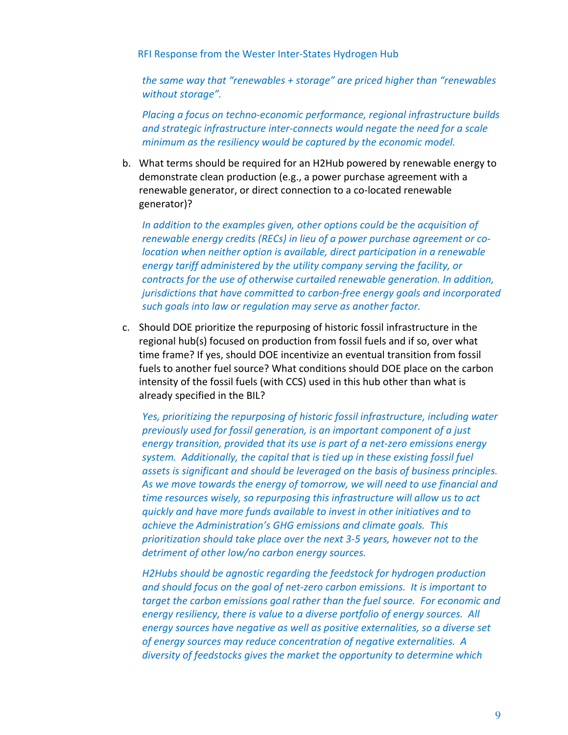*the same way that "renewables + storage" are priced higher than "renewables without storage".*

*Placing a focus on techno-economic performance, regional infrastructure builds and strategic infrastructure inter-connects would negate the need for a scale minimum as the resiliency would be captured by the economic model.*

b. What terms should be required for an H2Hub powered by renewable energy to demonstrate clean production (e.g., a power purchase agreement with a renewable generator, or direct connection to a co-located renewable generator)?

*In addition to the examples given, other options could be the acquisition of renewable energy credits (RECs) in lieu of a power purchase agreement or colocation when neither option is available, direct participation in a renewable energy tariff administered by the utility company serving the facility, or contracts for the use of otherwise curtailed renewable generation. In addition, jurisdictions that have committed to carbon-free energy goals and incorporated such goals into law or regulation may serve as another factor.*

c. Should DOE prioritize the repurposing of historic fossil infrastructure in the regional hub(s) focused on production from fossil fuels and if so, over what time frame? If yes, should DOE incentivize an eventual transition from fossil fuels to another fuel source? What conditions should DOE place on the carbon intensity of the fossil fuels (with CCS) used in this hub other than what is already specified in the BIL?

*Yes, prioritizing the repurposing of historic fossil infrastructure, including water previously used for fossil generation, is an important component of a just energy transition, provided that its use is part of a net-zero emissions energy system. Additionally, the capital that is tied up in these existing fossil fuel assets is significant and should be leveraged on the basis of business principles. As we move towards the energy of tomorrow, we will need to use financial and time resources wisely, so repurposing this infrastructure will allow us to act quickly and have more funds available to invest in other initiatives and to achieve the Administration's GHG emissions and climate goals. This prioritization should take place over the next 3-5 years, however not to the detriment of other low/no carbon energy sources.*

*H2Hubs should be agnostic regarding the feedstock for hydrogen production and should focus on the goal of net-zero carbon emissions. It is important to target the carbon emissions goal rather than the fuel source. For economic and energy resiliency, there is value to a diverse portfolio of energy sources. All energy sources have negative as well as positive externalities, so a diverse set of energy sources may reduce concentration of negative externalities. A diversity of feedstocks gives the market the opportunity to determine which*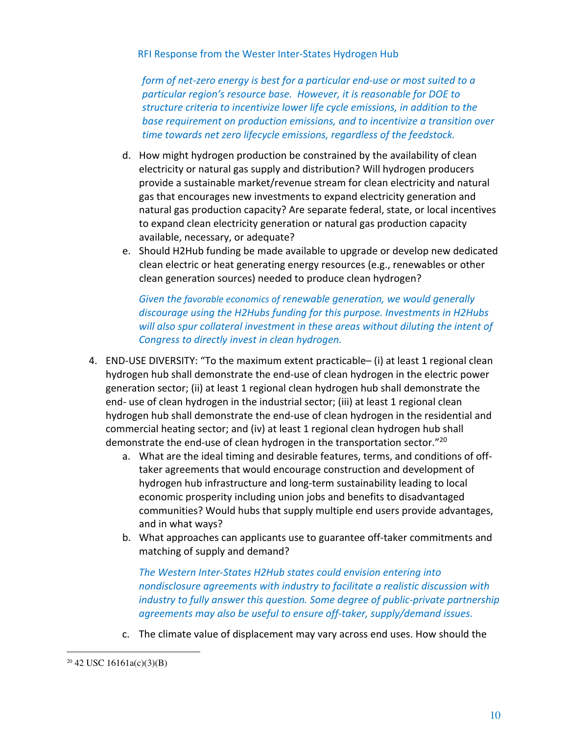*form of net-zero energy is best for a particular end-use or most suited to a particular region's resource base. However, it is reasonable for DOE to structure criteria to incentivize lower life cycle emissions, in addition to the base requirement on production emissions, and to incentivize a transition over time towards net zero lifecycle emissions, regardless of the feedstock.* 

- d. How might hydrogen production be constrained by the availability of clean electricity or natural gas supply and distribution? Will hydrogen producers provide a sustainable market/revenue stream for clean electricity and natural gas that encourages new investments to expand electricity generation and natural gas production capacity? Are separate federal, state, or local incentives to expand clean electricity generation or natural gas production capacity available, necessary, or adequate?
- e. Should H2Hub funding be made available to upgrade or develop new dedicated clean electric or heat generating energy resources (e.g., renewables or other clean generation sources) needed to produce clean hydrogen?

*Given the favorable economics of renewable generation, we would generally discourage using the H2Hubs funding for this purpose. Investments in H2Hubs will also spur collateral investment in these areas without diluting the intent of Congress to directly invest in clean hydrogen.*

- 4. END-USE DIVERSITY: "To the maximum extent practicable– (i) at least 1 regional clean hydrogen hub shall demonstrate the end-use of clean hydrogen in the electric power generation sector; (ii) at least 1 regional clean hydrogen hub shall demonstrate the end- use of clean hydrogen in the industrial sector; (iii) at least 1 regional clean hydrogen hub shall demonstrate the end-use of clean hydrogen in the residential and commercial heating sector; and (iv) at least 1 regional clean hydrogen hub shall demonstrate the end-use of clean hydrogen in the transportation sector."20
	- a. What are the ideal timing and desirable features, terms, and conditions of offtaker agreements that would encourage construction and development of hydrogen hub infrastructure and long-term sustainability leading to local economic prosperity including union jobs and benefits to disadvantaged communities? Would hubs that supply multiple end users provide advantages, and in what ways?
	- b. What approaches can applicants use to guarantee off-taker commitments and matching of supply and demand?

*The Western Inter-States H2Hub states could envision entering into nondisclosure agreements with industry to facilitate a realistic discussion with industry to fully answer this question. Some degree of public-private partnership agreements may also be useful to ensure off-taker, supply/demand issues.* 

c. The climate value of displacement may vary across end uses. How should the

<sup>20</sup> 42 USC 16161a(c)(3)(B)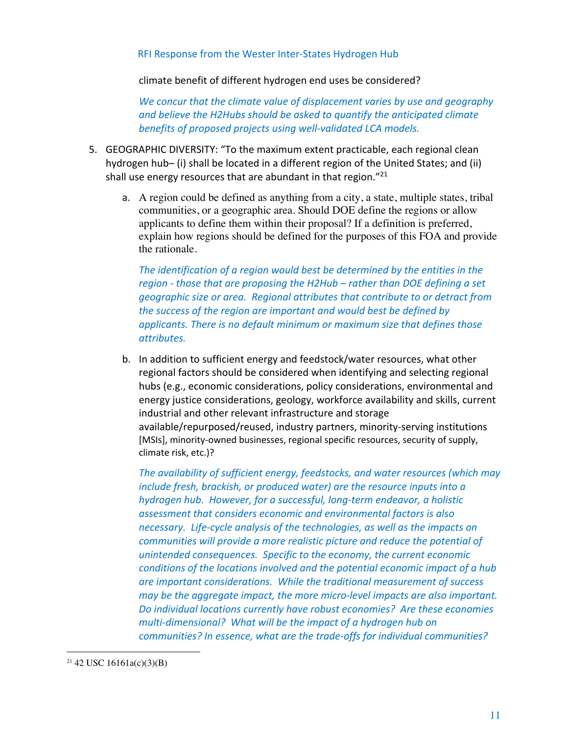climate benefit of different hydrogen end uses be considered?

*We concur that the climate value of displacement varies by use and geography and believe the H2Hubs should be asked to quantify the anticipated climate benefits of proposed projects using well-validated LCA models.* 

- 5. GEOGRAPHIC DIVERSITY: "To the maximum extent practicable, each regional clean hydrogen hub– (i) shall be located in a different region of the United States; and (ii) shall use energy resources that are abundant in that region."21
	- a. A region could be defined as anything from a city, a state, multiple states, tribal communities, or a geographic area. Should DOE define the regions or allow applicants to define them within their proposal? If a definition is preferred, explain how regions should be defined for the purposes of this FOA and provide the rationale.

*The identification of a region would best be determined by the entities in the region - those that are proposing the H2Hub – rather than DOE defining a set geographic size or area. Regional attributes that contribute to or detract from the success of the region are important and would best be defined by applicants. There is no default minimum or maximum size that defines those attributes.*

b. In addition to sufficient energy and feedstock/water resources, what other regional factors should be considered when identifying and selecting regional hubs (e.g., economic considerations, policy considerations, environmental and energy justice considerations, geology, workforce availability and skills, current industrial and other relevant infrastructure and storage available/repurposed/reused, industry partners, minority-serving institutions [MSIs], minority-owned businesses, regional specific resources, security of supply, climate risk, etc.)?

*The availability of sufficient energy, feedstocks, and water resources (which may include fresh, brackish, or produced water) are the resource inputs into a hydrogen hub. However, for a successful, long-term endeavor, a holistic assessment that considers economic and environmental factors is also necessary. Life-cycle analysis of the technologies, as well as the impacts on communities will provide a more realistic picture and reduce the potential of unintended consequences. Specific to the economy, the current economic conditions of the locations involved and the potential economic impact of a hub are important considerations. While the traditional measurement of success may be the aggregate impact, the more micro-level impacts are also important. Do individual locations currently have robust economies? Are these economies multi-dimensional? What will be the impact of a hydrogen hub on communities? In essence, what are the trade-offs for individual communities?* 

 $21$  42 USC 16161a(c)(3)(B)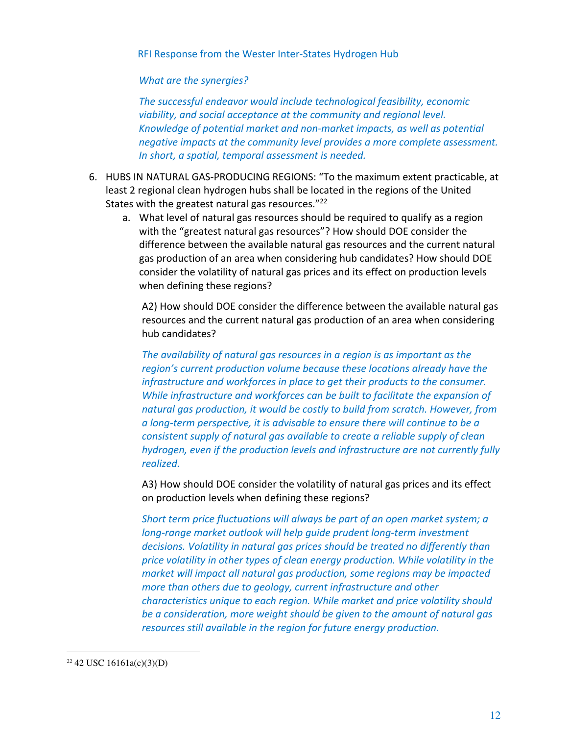## *What are the synergies?*

*The successful endeavor would include technological feasibility, economic viability, and social acceptance at the community and regional level. Knowledge of potential market and non-market impacts, as well as potential negative impacts at the community level provides a more complete assessment. In short, a spatial, temporal assessment is needed.*

- 6. HUBS IN NATURAL GAS-PRODUCING REGIONS: "To the maximum extent practicable, at least 2 regional clean hydrogen hubs shall be located in the regions of the United States with the greatest natural gas resources."<sup>22</sup>
	- a. What level of natural gas resources should be required to qualify as a region with the "greatest natural gas resources"? How should DOE consider the difference between the available natural gas resources and the current natural gas production of an area when considering hub candidates? How should DOE consider the volatility of natural gas prices and its effect on production levels when defining these regions?

A2) How should DOE consider the difference between the available natural gas resources and the current natural gas production of an area when considering hub candidates?

*The availability of natural gas resources in a region is as important as the region's current production volume because these locations already have the infrastructure and workforces in place to get their products to the consumer. While infrastructure and workforces can be built to facilitate the expansion of natural gas production, it would be costly to build from scratch. However, from a long-term perspective, it is advisable to ensure there will continue to be a consistent supply of natural gas available to create a reliable supply of clean hydrogen, even if the production levels and infrastructure are not currently fully realized.* 

A3) How should DOE consider the volatility of natural gas prices and its effect on production levels when defining these regions?

*Short term price fluctuations will always be part of an open market system; a long-range market outlook will help guide prudent long-term investment decisions. Volatility in natural gas prices should be treated no differently than price volatility in other types of clean energy production. While volatility in the market will impact all natural gas production, some regions may be impacted more than others due to geology, current infrastructure and other characteristics unique to each region. While market and price volatility should be a consideration, more weight should be given to the amount of natural gas resources still available in the region for future energy production.*

 $22$  42 USC 16161a(c)(3)(D)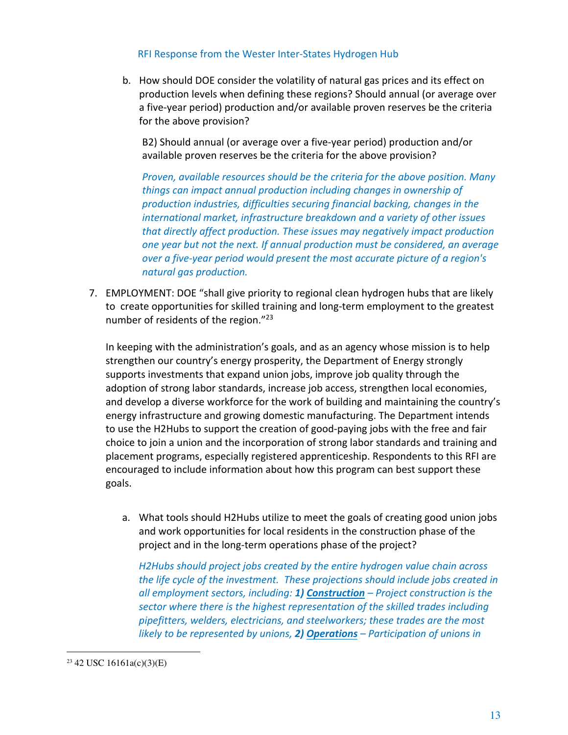b. How should DOE consider the volatility of natural gas prices and its effect on production levels when defining these regions? Should annual (or average over a five-year period) production and/or available proven reserves be the criteria for the above provision?

B2) Should annual (or average over a five-year period) production and/or available proven reserves be the criteria for the above provision?

*Proven, available resources should be the criteria for the above position. Many things can impact annual production including changes in ownership of production industries, difficulties securing financial backing, changes in the international market, infrastructure breakdown and a variety of other issues that directly affect production. These issues may negatively impact production one year but not the next. If annual production must be considered, an average over a five-year period would present the most accurate picture of a region's natural gas production.*

7. EMPLOYMENT: DOE "shall give priority to regional clean hydrogen hubs that are likely to create opportunities for skilled training and long-term employment to the greatest number of residents of the region."<sup>23</sup>

In keeping with the administration's goals, and as an agency whose mission is to help strengthen our country's energy prosperity, the Department of Energy strongly supports investments that expand union jobs, improve job quality through the adoption of strong labor standards, increase job access, strengthen local economies, and develop a diverse workforce for the work of building and maintaining the country's energy infrastructure and growing domestic manufacturing. The Department intends to use the H2Hubs to support the creation of good-paying jobs with the free and fair choice to join a union and the incorporation of strong labor standards and training and placement programs, especially registered apprenticeship. Respondents to this RFI are encouraged to include information about how this program can best support these goals.

a. What tools should H2Hubs utilize to meet the goals of creating good union jobs and work opportunities for local residents in the construction phase of the project and in the long-term operations phase of the project?

*H2Hubs should project jobs created by the entire hydrogen value chain across the life cycle of the investment. These projections should include jobs created in all employment sectors, including: 1) Construction – Project construction is the sector where there is the highest representation of the skilled trades including pipefitters, welders, electricians, and steelworkers; these trades are the most likely to be represented by unions, 2) Operations – Participation of unions in* 

 $23$  42 USC 16161a(c)(3)(E)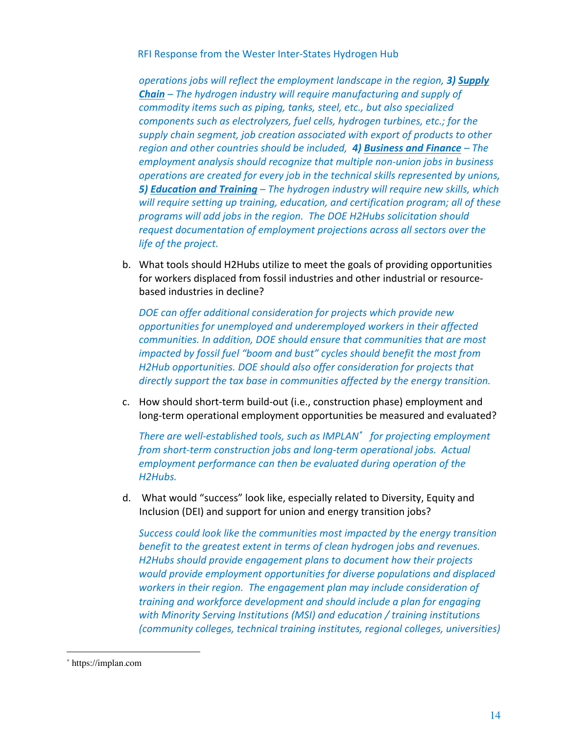*operations jobs will reflect the employment landscape in the region, 3) Supply Chain – The hydrogen industry will require manufacturing and supply of commodity items such as piping, tanks, steel, etc., but also specialized components such as electrolyzers, fuel cells, hydrogen turbines, etc.; for the supply chain segment, job creation associated with export of products to other region and other countries should be included, 4) Business and Finance – The employment analysis should recognize that multiple non-union jobs in business operations are created for every job in the technical skills represented by unions, 5) Education and Training – The hydrogen industry will require new skills, which will require setting up training, education, and certification program; all of these programs will add jobs in the region. The DOE H2Hubs solicitation should request documentation of employment projections across all sectors over the life of the project.*

b. What tools should H2Hubs utilize to meet the goals of providing opportunities for workers displaced from fossil industries and other industrial or resourcebased industries in decline?

*DOE can offer additional consideration for projects which provide new opportunities for unemployed and underemployed workers in their affected communities. In addition, DOE should ensure that communities that are most impacted by fossil fuel "boom and bust" cycles should benefit the most from H2Hub opportunities. DOE should also offer consideration for projects that directly support the tax base in communities affected by the energy transition.*

c. How should short-term build-out (i.e., construction phase) employment and long-term operational employment opportunities be measured and evaluated?

*There are well-established tools, such as IMPLAN\* for projecting employment from short-term construction jobs and long-term operational jobs. Actual employment performance can then be evaluated during operation of the H2Hubs.*

d. What would "success" look like, especially related to Diversity, Equity and Inclusion (DEI) and support for union and energy transition jobs?

*Success could look like the communities most impacted by the energy transition benefit to the greatest extent in terms of clean hydrogen jobs and revenues. H2Hubs should provide engagement plans to document how their projects would provide employment opportunities for diverse populations and displaced workers in their region. The engagement plan may include consideration of training and workforce development and should include a plan for engaging with Minority Serving Institutions (MSI) and education / training institutions (community colleges, technical training institutes, regional colleges, universities)* 

<sup>\*</sup> https://implan.com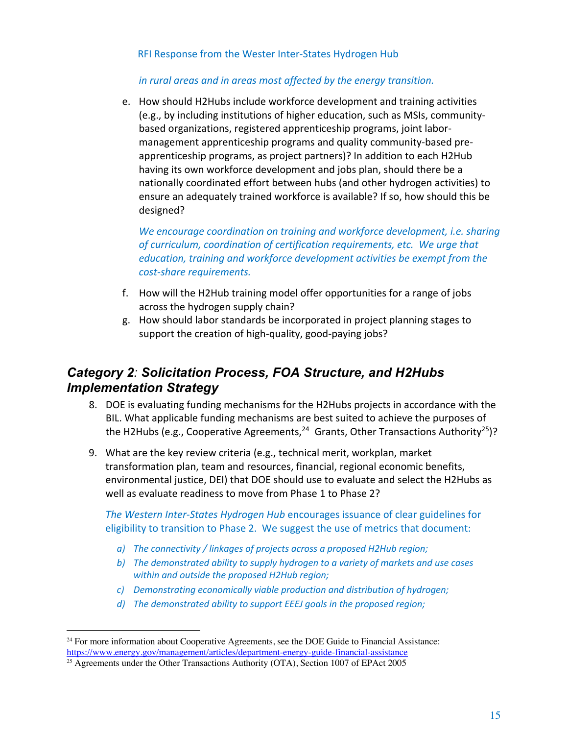# *in rural areas and in areas most affected by the energy transition.*

e. How should H2Hubs include workforce development and training activities (e.g., by including institutions of higher education, such as MSIs, communitybased organizations, registered apprenticeship programs, joint labormanagement apprenticeship programs and quality community-based preapprenticeship programs, as project partners)? In addition to each H2Hub having its own workforce development and jobs plan, should there be a nationally coordinated effort between hubs (and other hydrogen activities) to ensure an adequately trained workforce is available? If so, how should this be designed?

*We encourage coordination on training and workforce development, i.e. sharing of curriculum, coordination of certification requirements, etc. We urge that education, training and workforce development activities be exempt from the cost-share requirements.*

- f. How will the H2Hub training model offer opportunities for a range of jobs across the hydrogen supply chain?
- g. How should labor standards be incorporated in project planning stages to support the creation of high-quality, good-paying jobs?

# *Category 2: Solicitation Process, FOA Structure, and H2Hubs Implementation Strategy*

- 8. DOE is evaluating funding mechanisms for the H2Hubs projects in accordance with the BIL. What applicable funding mechanisms are best suited to achieve the purposes of the H2Hubs (e.g., Cooperative Agreements,<sup>24</sup> Grants, Other Transactions Authority<sup>25</sup>)?
- 9. What are the key review criteria (e.g., technical merit, workplan, market transformation plan, team and resources, financial, regional economic benefits, environmental justice, DEI) that DOE should use to evaluate and select the H2Hubs as well as evaluate readiness to move from Phase 1 to Phase 2?

*The Western Inter-States Hydrogen Hub* encourages issuance of clear guidelines for eligibility to transition to Phase 2. We suggest the use of metrics that document:

- *a) The connectivity / linkages of projects across a proposed H2Hub region;*
- *b) The demonstrated ability to supply hydrogen to a variety of markets and use cases within and outside the proposed H2Hub region;*
- *c) Demonstrating economically viable production and distribution of hydrogen;*
- *d) The demonstrated ability to support EEEJ goals in the proposed region;*

<sup>24</sup> For more information about Cooperative Agreements, see the DOE Guide to Financial Assistance: https://www.energy.gov/management/articles/department-energy-guide-financial-assistance

<sup>&</sup>lt;sup>25</sup> Agreements under the Other Transactions Authority (OTA), Section 1007 of EPAct 2005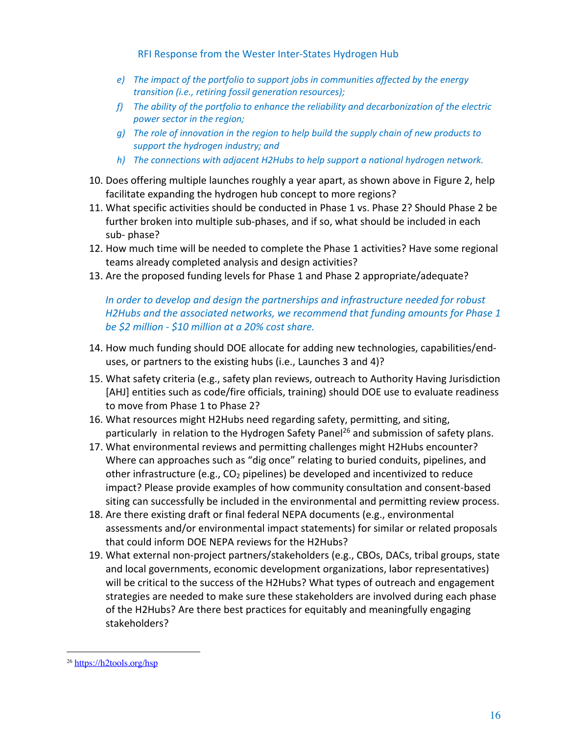- *e) The impact of the portfolio to support jobs in communities affected by the energy transition (i.e., retiring fossil generation resources);*
- *f) The ability of the portfolio to enhance the reliability and decarbonization of the electric power sector in the region;*
- *g) The role of innovation in the region to help build the supply chain of new products to support the hydrogen industry; and*
- *h) The connections with adjacent H2Hubs to help support a national hydrogen network.*
- 10. Does offering multiple launches roughly a year apart, as shown above in Figure 2, help facilitate expanding the hydrogen hub concept to more regions?
- 11. What specific activities should be conducted in Phase 1 vs. Phase 2? Should Phase 2 be further broken into multiple sub-phases, and if so, what should be included in each sub- phase?
- 12. How much time will be needed to complete the Phase 1 activities? Have some regional teams already completed analysis and design activities?
- 13. Are the proposed funding levels for Phase 1 and Phase 2 appropriate/adequate?

*In order to develop and design the partnerships and infrastructure needed for robust H2Hubs and the associated networks, we recommend that funding amounts for Phase 1 be \$2 million - \$10 million at a 20% cost share.*

- 14. How much funding should DOE allocate for adding new technologies, capabilities/enduses, or partners to the existing hubs (i.e., Launches 3 and 4)?
- 15. What safety criteria (e.g., safety plan reviews, outreach to Authority Having Jurisdiction [AHJ] entities such as code/fire officials, training) should DOE use to evaluate readiness to move from Phase 1 to Phase 2?
- 16. What resources might H2Hubs need regarding safety, permitting, and siting, particularly in relation to the Hydrogen Safety Panel<sup>26</sup> and submission of safety plans.
- 17. What environmental reviews and permitting challenges might H2Hubs encounter? Where can approaches such as "dig once" relating to buried conduits, pipelines, and other infrastructure (e.g.,  $CO<sub>2</sub>$  pipelines) be developed and incentivized to reduce impact? Please provide examples of how community consultation and consent-based siting can successfully be included in the environmental and permitting review process.
- 18. Are there existing draft or final federal NEPA documents (e.g., environmental assessments and/or environmental impact statements) for similar or related proposals that could inform DOE NEPA reviews for the H2Hubs?
- 19. What external non-project partners/stakeholders (e.g., CBOs, DACs, tribal groups, state and local governments, economic development organizations, labor representatives) will be critical to the success of the H2Hubs? What types of outreach and engagement strategies are needed to make sure these stakeholders are involved during each phase of the H2Hubs? Are there best practices for equitably and meaningfully engaging stakeholders?

<sup>26</sup> https://h2tools.org/hsp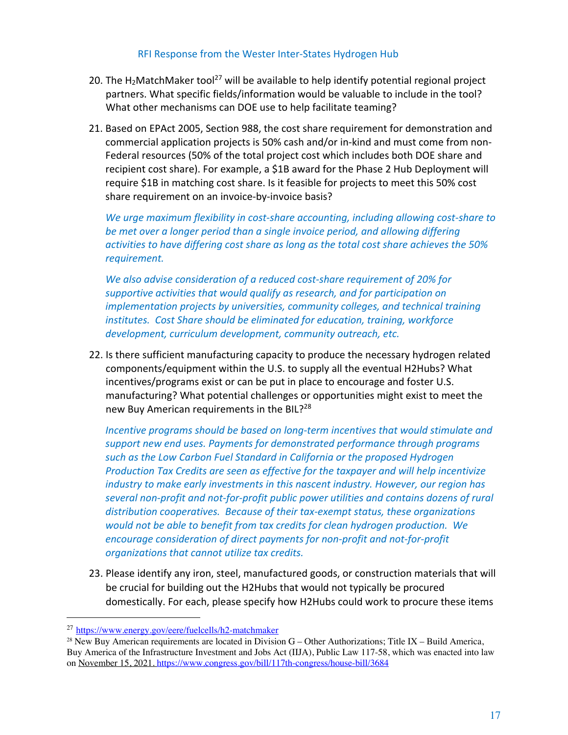- 20. The H<sub>2</sub>MatchMaker tool<sup>27</sup> will be available to help identify potential regional project partners. What specific fields/information would be valuable to include in the tool? What other mechanisms can DOE use to help facilitate teaming?
- 21. Based on EPAct 2005, Section 988, the cost share requirement for demonstration and commercial application projects is 50% cash and/or in-kind and must come from non-Federal resources (50% of the total project cost which includes both DOE share and recipient cost share). For example, a \$1B award for the Phase 2 Hub Deployment will require \$1B in matching cost share. Is it feasible for projects to meet this 50% cost share requirement on an invoice-by-invoice basis?

*We urge maximum flexibility in cost-share accounting, including allowing cost-share to be met over a longer period than a single invoice period, and allowing differing activities to have differing cost share as long as the total cost share achieves the 50% requirement.* 

*We also advise consideration of a reduced cost-share requirement of 20% for supportive activities that would qualify as research, and for participation on implementation projects by universities, community colleges, and technical training institutes. Cost Share should be eliminated for education, training, workforce development, curriculum development, community outreach, etc.*

22. Is there sufficient manufacturing capacity to produce the necessary hydrogen related components/equipment within the U.S. to supply all the eventual H2Hubs? What incentives/programs exist or can be put in place to encourage and foster U.S. manufacturing? What potential challenges or opportunities might exist to meet the new Buy American requirements in the BIL?<sup>28</sup>

*Incentive programs should be based on long-term incentives that would stimulate and support new end uses. Payments for demonstrated performance through programs such as the Low Carbon Fuel Standard in California or the proposed Hydrogen Production Tax Credits are seen as effective for the taxpayer and will help incentivize industry to make early investments in this nascent industry. However, our region has several non-profit and not-for-profit public power utilities and contains dozens of rural distribution cooperatives. Because of their tax-exempt status, these organizations would not be able to benefit from tax credits for clean hydrogen production. We encourage consideration of direct payments for non-profit and not-for-profit organizations that cannot utilize tax credits.*

23. Please identify any iron, steel, manufactured goods, or construction materials that will be crucial for building out the H2Hubs that would not typically be procured domestically. For each, please specify how H2Hubs could work to procure these items

<sup>27</sup> https://www.energy.gov/eere/fuelcells/h2-matchmaker

<sup>&</sup>lt;sup>28</sup> New Buy American requirements are located in Division  $G -$ Other Authorizations; Title IX – Build America, Buy America of the Infrastructure Investment and Jobs Act (IIJA), Public Law 117-58, which was enacted into law on November 15, 2021. https://www.congress.gov/bill/117th-congress/house-bill/3684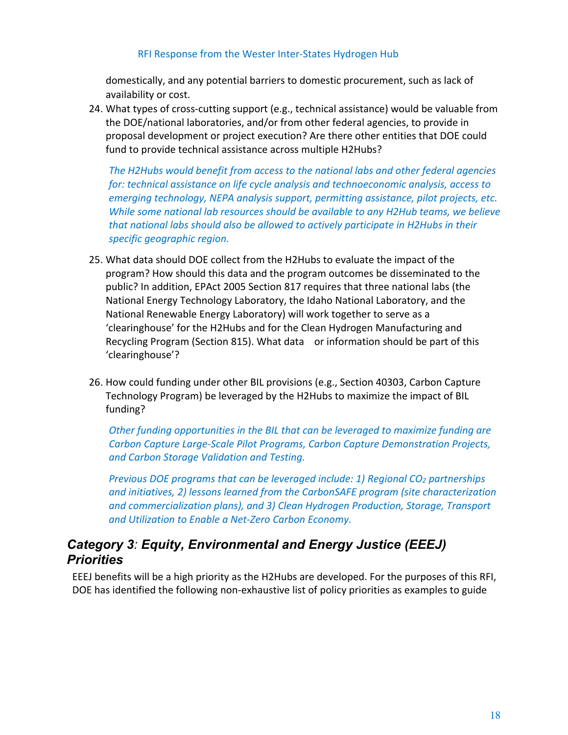domestically, and any potential barriers to domestic procurement, such as lack of availability or cost.

24. What types of cross-cutting support (e.g., technical assistance) would be valuable from the DOE/national laboratories, and/or from other federal agencies, to provide in proposal development or project execution? Are there other entities that DOE could fund to provide technical assistance across multiple H2Hubs?

*The H2Hubs would benefit from access to the national labs and other federal agencies for: technical assistance on life cycle analysis and technoeconomic analysis, access to emerging technology, NEPA analysis support, permitting assistance, pilot projects, etc. While some national lab resources should be available to any H2Hub teams, we believe that national labs should also be allowed to actively participate in H2Hubs in their specific geographic region.*

- 25. What data should DOE collect from the H2Hubs to evaluate the impact of the program? How should this data and the program outcomes be disseminated to the public? In addition, EPAct 2005 Section 817 requires that three national labs (the National Energy Technology Laboratory, the Idaho National Laboratory, and the National Renewable Energy Laboratory) will work together to serve as a 'clearinghouse' for the H2Hubs and for the Clean Hydrogen Manufacturing and Recycling Program (Section 815). What data or information should be part of this 'clearinghouse'?
- 26. How could funding under other BIL provisions (e.g., Section 40303, Carbon Capture Technology Program) be leveraged by the H2Hubs to maximize the impact of BIL funding?

*Other funding opportunities in the BIL that can be leveraged to maximize funding are Carbon Capture Large-Scale Pilot Programs, Carbon Capture Demonstration Projects, and Carbon Storage Validation and Testing.*

*Previous DOE programs that can be leveraged include: 1) Regional CO2 partnerships and initiatives, 2) lessons learned from the CarbonSAFE program (site characterization and commercialization plans), and 3) Clean Hydrogen Production, Storage, Transport and Utilization to Enable a Net-Zero Carbon Economy.*

# *Category 3: Equity, Environmental and Energy Justice (EEEJ) Priorities*

EEEJ benefits will be a high priority as the H2Hubs are developed. For the purposes of this RFI, DOE has identified the following non-exhaustive list of policy priorities as examples to guide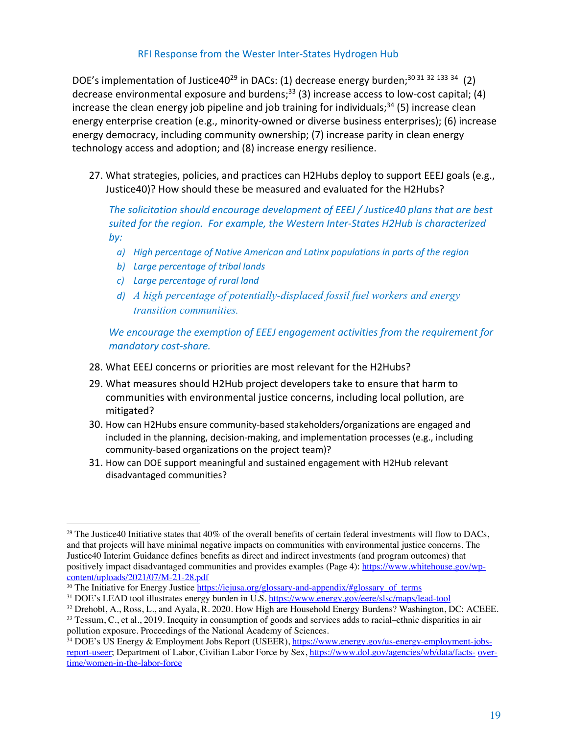DOE's implementation of Justice40<sup>29</sup> in DACs: (1) decrease energy burden;<sup>30 31 32 133 34</sup> (2) decrease environmental exposure and burdens;<sup>33</sup> (3) increase access to low-cost capital; (4) increase the clean energy job pipeline and job training for individuals;<sup>34</sup> (5) increase clean energy enterprise creation (e.g., minority-owned or diverse business enterprises); (6) increase energy democracy, including community ownership; (7) increase parity in clean energy technology access and adoption; and (8) increase energy resilience.

27. What strategies, policies, and practices can H2Hubs deploy to support EEEJ goals (e.g., Justice40)? How should these be measured and evaluated for the H2Hubs?

*The solicitation should encourage development of EEEJ / Justice40 plans that are best suited for the region. For example, the Western Inter-States H2Hub is characterized by:*

- *a) High percentage of Native American and Latinx populations in parts of the region*
- *b) Large percentage of tribal lands*
- *c) Large percentage of rural land*
- *d) A high percentage of potentially-displaced fossil fuel workers and energy transition communities.*

*We encourage the exemption of EEEJ engagement activities from the requirement for mandatory cost-share.*

- 28. What EEEJ concerns or priorities are most relevant for the H2Hubs?
- 29. What measures should H2Hub project developers take to ensure that harm to communities with environmental justice concerns, including local pollution, are mitigated?
- 30. How can H2Hubs ensure community-based stakeholders/organizations are engaged and included in the planning, decision-making, and implementation processes (e.g., including community-based organizations on the project team)?
- 31. How can DOE support meaningful and sustained engagement with H2Hub relevant disadvantaged communities?

<sup>&</sup>lt;sup>29</sup> The Justice40 Initiative states that  $40\%$  of the overall benefits of certain federal investments will flow to DACs, and that projects will have minimal negative impacts on communities with environmental justice concerns. The Justice40 Interim Guidance defines benefits as direct and indirect investments (and program outcomes) that positively impact disadvantaged communities and provides examples (Page 4): https://www.whitehouse.gov/wpcontent/uploads/2021/07/M-21-28.pdf

<sup>&</sup>lt;sup>30</sup> The Initiative for Energy Justice https://iejusa.org/glossary-and-appendix/#glossary\_of\_terms

<sup>&</sup>lt;sup>31</sup> DOE's LEAD tool illustrates energy burden in U.S. https://www.energy.gov/eere/slsc/maps/lead-tool

 $32$  Drehobl, A., Ross, L., and Ayala, R. 2020. How High are Household Energy Burdens? Washington, DC: ACEEE.

<sup>33</sup> Tessum, C., et al., 2019. Inequity in consumption of goods and services adds to racial–ethnic disparities in air pollution exposure. Proceedings of the National Academy of Sciences.

<sup>34</sup> DOE's US Energy & Employment Jobs Report (USEER), https://www.energy.gov/us-energy-employment-jobsreport-useer; Department of Labor, Civilian Labor Force by Sex, https://www.dol.gov/agencies/wb/data/facts- overtime/women-in-the-labor-force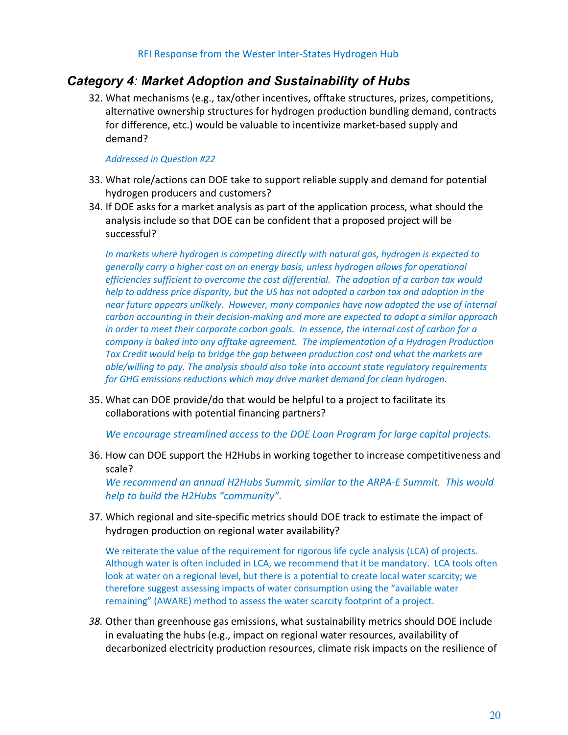# *Category 4: Market Adoption and Sustainability of Hubs*

32. What mechanisms (e.g., tax/other incentives, offtake structures, prizes, competitions, alternative ownership structures for hydrogen production bundling demand, contracts for difference, etc.) would be valuable to incentivize market-based supply and demand?

#### *Addressed in Question #22*

- 33. What role/actions can DOE take to support reliable supply and demand for potential hydrogen producers and customers?
- 34. If DOE asks for a market analysis as part of the application process, what should the analysis include so that DOE can be confident that a proposed project will be successful?

*In markets where hydrogen is competing directly with natural gas, hydrogen is expected to generally carry a higher cost on an energy basis, unless hydrogen allows for operational efficiencies sufficient to overcome the cost differential. The adoption of a carbon tax would help to address price disparity, but the US has not adopted a carbon tax and adoption in the near future appears unlikely. However, many companies have now adopted the use of internal carbon accounting in their decision-making and more are expected to adopt a similar approach in order to meet their corporate carbon goals. In essence, the internal cost of carbon for a company is baked into any offtake agreement. The implementation of a Hydrogen Production Tax Credit would help to bridge the gap between production cost and what the markets are able/willing to pay. The analysis should also take into account state regulatory requirements for GHG emissions reductions which may drive market demand for clean hydrogen.*

35. What can DOE provide/do that would be helpful to a project to facilitate its collaborations with potential financing partners?

*We encourage streamlined access to the DOE Loan Program for large capital projects.*

36. How can DOE support the H2Hubs in working together to increase competitiveness and scale?

*We recommend an annual H2Hubs Summit, similar to the ARPA-E Summit. This would help to build the H2Hubs "community".*

37. Which regional and site-specific metrics should DOE track to estimate the impact of hydrogen production on regional water availability?

We reiterate the value of the requirement for rigorous life cycle analysis (LCA) of projects. Although water is often included in LCA, we recommend that it be mandatory. LCA tools often look at water on a regional level, but there is a potential to create local water scarcity; we therefore suggest assessing impacts of water consumption using the "available water remaining" (AWARE) method to assess the water scarcity footprint of a project.

*38.* Other than greenhouse gas emissions, what sustainability metrics should DOE include in evaluating the hubs (e.g., impact on regional water resources, availability of decarbonized electricity production resources, climate risk impacts on the resilience of